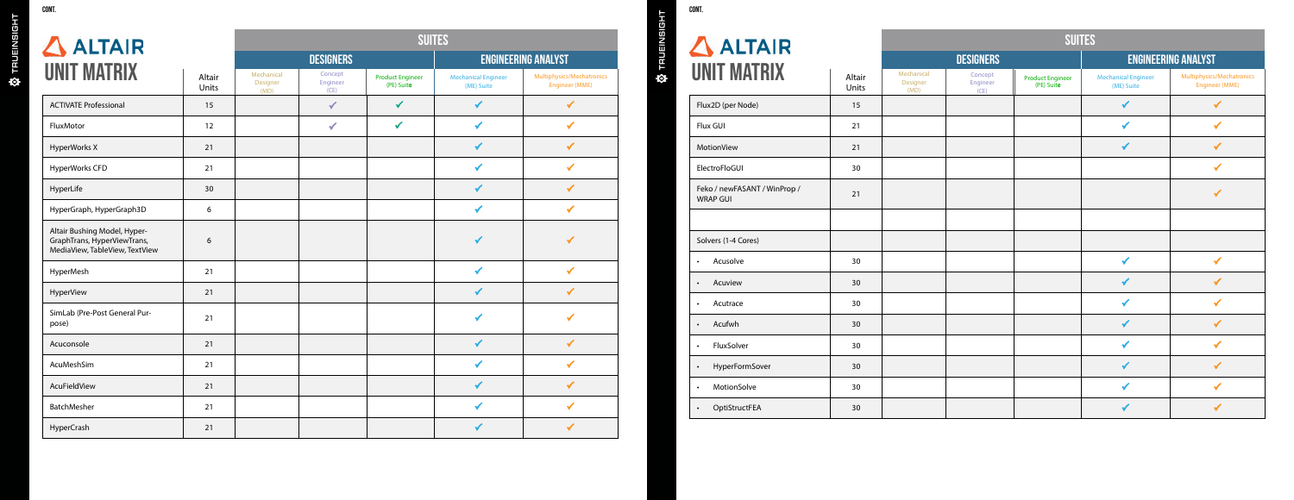| $\triangle$ ALTAIR                                                                            |                                |                             |                                | $\Delta$ ALTAIF                            |                                          |                                             |           |                                            |
|-----------------------------------------------------------------------------------------------|--------------------------------|-----------------------------|--------------------------------|--------------------------------------------|------------------------------------------|---------------------------------------------|-----------|--------------------------------------------|
|                                                                                               |                                |                             | <b>DESIGNERS</b>               |                                            |                                          | <b>ENGINEERING ANALYST</b>                  | Ф тя∪∈імэ |                                            |
| <b>UNIT MATRIX</b>                                                                            | Mechanical<br>Designer<br>(MD) | Concept<br>Engineer<br>(CE) | SEMU<br>Engineer<br>(1E) Suite | <b>Electronics Designer</b><br>(EDE) Suite | <b>Mechanical Engineer</b><br>(ME) Suite | Multiphysics/Mechatronics<br>Engineer (MME) |           | <b>UNIT MATRIX</b>                         |
| <b>ACTIVATE Professional</b>                                                                  |                                | 3 <sup>1</sup>              | <b>8 区</b>                     | 3                                          | $\mathbf{3}$                             |                                             |           | Flux2D (per Node)                          |
| FluxMotor                                                                                     |                                | $\overline{\mathbf{3}}$     | 3 <sup>1</sup>                 |                                            | $\mathbf{3}$                             |                                             |           | <b>Flux GUI</b>                            |
| <b>HyperWorks X</b>                                                                           |                                |                             |                                |                                            | $\mathbf{3}$                             |                                             |           | MotionView                                 |
| <b>HyperWorks CFD</b>                                                                         |                                |                             |                                |                                            | $\mathbf{3}$                             |                                             |           | ElectroFloGUI                              |
| HyperLife                                                                                     |                                |                             |                                |                                            | $\overline{\mathbf{3}}$                  |                                             |           | Feko / newFASANT / WinP<br><b>WRAP GUI</b> |
| HyperGraph, HyperGraph3D                                                                      |                                |                             |                                |                                            | $\mathbf{3}$                             |                                             |           |                                            |
| Altair Bushing Model, Hyper-<br>GraphTrans, HyperViewTrans,<br>MediaView, TableView, TextView |                                |                             |                                |                                            | $\mathbf{3}$                             |                                             |           | Solvers (1-4 Cores)                        |
| HyperMesh                                                                                     |                                |                             |                                |                                            | $\overline{\mathbf{3}}$                  |                                             |           | Acusolve                                   |
| <b>HyperView</b>                                                                              |                                |                             |                                |                                            | $\overline{\mathbf{3}}$                  |                                             |           | Acuview                                    |
| SimLab (Pre-Post General Pur-<br>pose)                                                        |                                |                             |                                |                                            | $\overline{\mathbf{3}}$                  |                                             |           | Acutrace<br>Acufwh                         |
| Acuconsole                                                                                    |                                |                             |                                |                                            | $\mathbf{3}$                             |                                             |           | FluxSolver                                 |
| AcuMeshSim                                                                                    |                                |                             |                                |                                            | $\mathbf{3}$                             |                                             |           | HyperFormSover                             |
| AcuFieldView                                                                                  |                                |                             |                                |                                            | $\overline{\mathbf{3}}$                  |                                             |           | MotionSolve                                |
| BatchMesher                                                                                   |                                |                             |                                |                                            | $\mathbf{3}$                             |                                             |           | OptiStructFEA                              |
|                                                                                               |                                |                             |                                |                                            |                                          |                                             |           |                                            |

HyperCrash  $\vert$  ,  $\vert$  ,  $\vert$  ,  $\vert$  ,  $\vert$  ,  $\vert$  ,  $\vert$  ,  $\vert$  ,  $\vert$  ,  $\vert$  ,  $\vert$  ,  $\vert$  ,  $\vert$  ,  $\vert$  ,  $\vert$  ,  $\vert$  ,  $\vert$  ,  $\vert$  ,  $\vert$  ,  $\vert$  ,  $\vert$  ,  $\vert$  ,  $\vert$  ,  $\vert$  ,  $\vert$  ,  $\vert$  ,  $\vert$  ,  $\vert$  ,  $\vert$  ,  $\vert$  ,



**W** TRUEINSIGHT

| $\Delta$ ALTAIR                                 | <b>SUITES</b>                  |                             |                                 |                                            |                                          |                                             |  |  |  |
|-------------------------------------------------|--------------------------------|-----------------------------|---------------------------------|--------------------------------------------|------------------------------------------|---------------------------------------------|--|--|--|
| <b>JNIT MATRIX</b>                              |                                |                             | <b>DESIGNERS</b>                | <b>ENGINEERING ANALYST</b>                 |                                          |                                             |  |  |  |
|                                                 | Mechanical<br>Designer<br>(MD) | Concept<br>Engineer<br>(CE) | Engineer<br>XXX).<br>(1E) Suite | <b>Electronics Designer</b><br>(EDE) Suite | <b>Mechanical Engineer</b><br>(ME) Suite | Multiphysics/Mechatronics<br>Engineer (MME) |  |  |  |
| Flux2D (per Node)                               |                                |                             |                                 |                                            | $\overline{\mathbf{3}}$                  |                                             |  |  |  |
| Flux GUI                                        |                                |                             |                                 |                                            | $\mathbf{3}$                             |                                             |  |  |  |
| <b>MotionView</b>                               |                                |                             |                                 |                                            | $\overline{\mathbf{3}}$                  |                                             |  |  |  |
| ElectroFloGUI                                   |                                |                             |                                 |                                            |                                          |                                             |  |  |  |
| Feko / newFASANT / WinProp /<br><b>WRAP GUI</b> |                                |                             |                                 |                                            |                                          |                                             |  |  |  |
|                                                 |                                |                             |                                 |                                            |                                          |                                             |  |  |  |
| Solvers (1-4 Cores)                             |                                |                             |                                 |                                            |                                          |                                             |  |  |  |
| Acusolve                                        |                                |                             |                                 |                                            | $\overline{\mathbf{3}}$                  |                                             |  |  |  |
| Acuview                                         |                                |                             |                                 |                                            | $\mathbf{3}$                             |                                             |  |  |  |
| Acutrace                                        |                                |                             |                                 |                                            | $\overline{\mathbf{3}}$                  |                                             |  |  |  |
| Acufwh                                          |                                |                             |                                 |                                            | $\mathbf{3}$                             |                                             |  |  |  |
| FluxSolver                                      |                                |                             |                                 |                                            | $\mathbf{3}$                             |                                             |  |  |  |
| HyperFormSover                                  |                                |                             |                                 |                                            | $\mathbf{3}$                             |                                             |  |  |  |
| MotionSolve                                     |                                |                             |                                 |                                            | $\mathbf{3}$                             |                                             |  |  |  |
| OptiStructFEA                                   |                                |                             |                                 |                                            | $\overline{\mathbf{3}}$                  |                                             |  |  |  |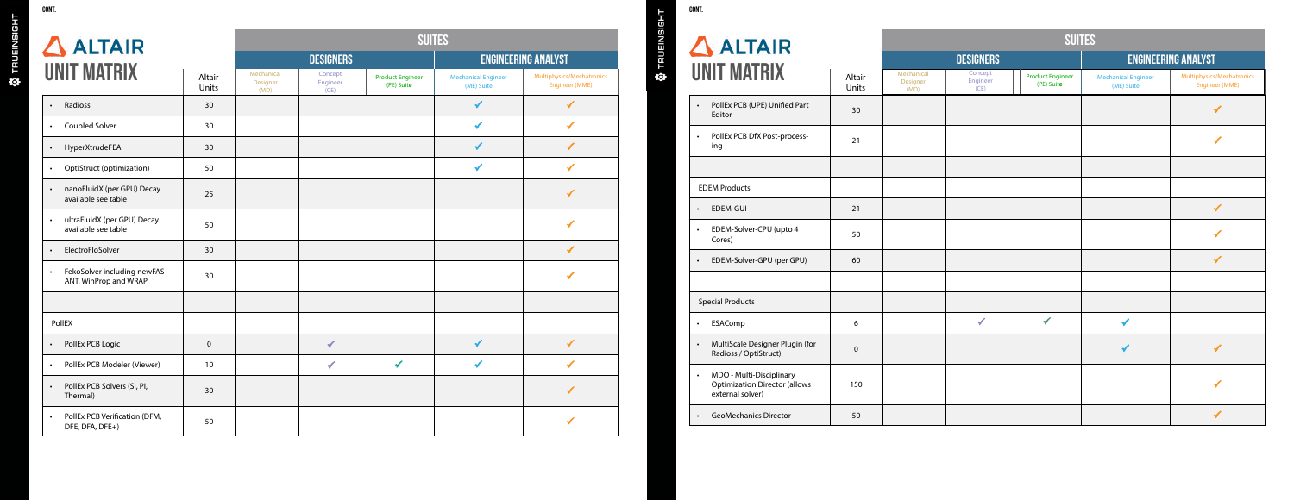| $\Delta$ ALTAIR                                                                                   | <b>SUITES</b>                  |                             |                                       |                                            |                                          |                                                    |  |  |  |
|---------------------------------------------------------------------------------------------------|--------------------------------|-----------------------------|---------------------------------------|--------------------------------------------|------------------------------------------|----------------------------------------------------|--|--|--|
|                                                                                                   |                                |                             | <b>DESIGNERS</b>                      | <b>ENGINEERING ANALYST</b>                 |                                          |                                                    |  |  |  |
| UNIT MATRIX                                                                                       | Mechanical<br>Designer<br>(MD) | Concept<br>Engineer<br>(CE) | <b>Product Engineer</b><br>(PE) Suite | <b>Electronics Designer</b><br>(EDE) Suite | <b>Mechanical Engineer</b><br>(ME) Suite | Multiphysics/Mechatronics<br><b>Engineer (MME)</b> |  |  |  |
| PollEx PCB (UPE) Unified Part<br>$\bullet$<br>Editor                                              |                                |                             |                                       | $\checkmark$                               |                                          | $\checkmark$                                       |  |  |  |
| PollEx PCB DfX Post-process-<br>$\bullet$<br>ing                                                  |                                |                             |                                       | $\checkmark$                               |                                          | ✔                                                  |  |  |  |
|                                                                                                   |                                |                             |                                       |                                            |                                          |                                                    |  |  |  |
| <b>EDEM Products</b>                                                                              |                                |                             |                                       |                                            |                                          |                                                    |  |  |  |
| EDEM-GUI<br>$\bullet$                                                                             |                                |                             |                                       |                                            |                                          | $\checkmark$                                       |  |  |  |
| EDEM-Solver-CPU (upto 4<br>$\bullet$<br>Cores)                                                    |                                |                             |                                       |                                            |                                          | $\checkmark$                                       |  |  |  |
| EDEM-Solver-GPU (per GPU)<br>$\bullet$                                                            |                                |                             |                                       |                                            |                                          | $\checkmark$                                       |  |  |  |
|                                                                                                   |                                |                             |                                       |                                            |                                          |                                                    |  |  |  |
| <b>Special Products</b>                                                                           |                                |                             |                                       |                                            |                                          |                                                    |  |  |  |
| ESAComp<br>$\bullet$                                                                              |                                | $\checkmark$                | $\checkmark$                          |                                            | $\checkmark$                             |                                                    |  |  |  |
| MultiScale Designer Plugin (for<br>$\bullet$<br>Radioss / OptiStruct)                             |                                |                             |                                       |                                            | $\checkmark$                             | $\checkmark$                                       |  |  |  |
| MDO - Multi-Disciplinary<br>$\bullet$<br><b>Optimization Director (allows</b><br>external solver) |                                |                             |                                       |                                            |                                          | $\checkmark$                                       |  |  |  |
| <b>GeoMechanics Director</b><br>$\bullet$                                                         |                                |                             |                                       |                                            |                                          | $\checkmark$                                       |  |  |  |

| ALTAIR                                                                               | <b>SUITES</b>                  |                             |                                       |                                            |                                          |                                             |  |  |  |
|--------------------------------------------------------------------------------------|--------------------------------|-----------------------------|---------------------------------------|--------------------------------------------|------------------------------------------|---------------------------------------------|--|--|--|
|                                                                                      | <b>DESIGNERS</b>               |                             |                                       |                                            | <b>ENGINEERING ANALYST</b>               |                                             |  |  |  |
| <b>NIT MATRIX</b>                                                                    | Mechanical<br>Designer<br>(MD) | Concept<br>Engineer<br>(CE) | <b>Product Engineer</b><br>(PE) Suite | <b>Electronics Designer</b><br>(EDE) Suite | <b>Mechanical Engineer</b><br>(ME) Suite | Multiphysics/Mechatronics<br>Engineer (MME) |  |  |  |
| PollEx PCB (UPE) Unified Part<br>Editor                                              |                                |                             |                                       | ✓                                          |                                          | ✔                                           |  |  |  |
| PollEx PCB DfX Post-process-<br>ing                                                  |                                |                             |                                       | $\checkmark$                               |                                          |                                             |  |  |  |
|                                                                                      |                                |                             |                                       |                                            |                                          |                                             |  |  |  |
| <b>DEM Products</b>                                                                  |                                |                             |                                       |                                            |                                          |                                             |  |  |  |
| <b>EDEM-GUI</b>                                                                      |                                |                             |                                       |                                            |                                          | $\checkmark$                                |  |  |  |
| EDEM-Solver-CPU (upto 4<br>Cores)                                                    |                                |                             |                                       |                                            |                                          | ✔                                           |  |  |  |
| EDEM-Solver-GPU (per GPU)                                                            |                                |                             |                                       |                                            |                                          | $\checkmark$                                |  |  |  |
|                                                                                      |                                |                             |                                       |                                            |                                          |                                             |  |  |  |
| pecial Products                                                                      |                                |                             |                                       |                                            |                                          |                                             |  |  |  |
| ESAComp                                                                              |                                | $\checkmark$                | $\checkmark$                          |                                            | $\checkmark$                             |                                             |  |  |  |
| MultiScale Designer Plugin (for<br>Radioss / OptiStruct)                             |                                |                             |                                       |                                            | $\checkmark$                             | $\checkmark$                                |  |  |  |
| MDO - Multi-Disciplinary<br><b>Optimization Director (allows</b><br>external solver) |                                |                             |                                       |                                            |                                          | ✔                                           |  |  |  |
| <b>GeoMechanics Director</b>                                                         |                                |                             |                                       |                                            |                                          | ✔                                           |  |  |  |

- 
- 

3

| GUN 1.                         |  |
|--------------------------------|--|
| $\Delta$ ALTAIR<br>UNIT MATRIX |  |
| Radioss                        |  |

| $\Delta$ ALTAIR                                                    |                                |                             |                                       | <b>ALTAIR</b>                              |                                          |                                                    |         |                                                                           |
|--------------------------------------------------------------------|--------------------------------|-----------------------------|---------------------------------------|--------------------------------------------|------------------------------------------|----------------------------------------------------|---------|---------------------------------------------------------------------------|
|                                                                    |                                |                             | <b>DESIGNERS</b>                      |                                            |                                          | <b>ENGINEERING ANALYST</b>                         | TRUEINS |                                                                           |
| <b>UNIT MATRIX</b>                                                 | Mechanical<br>Designer<br>(MD) | Concept<br>Engineer<br>(CE) | <b>Product Engineer</b><br>(PE) Suite | <b>Electronics Designer</b><br>(EDE) Suite | <b>Mechanical Engineer</b><br>(ME) Suite | Multiphysics/Mechatronics<br><b>Engineer (MME)</b> | ♦       | <b>UNIT MATRIX</b>                                                        |
| Radioss<br>$\bullet$                                               |                                |                             |                                       |                                            | $\checkmark$                             | $\checkmark$                                       |         | PollEx PCB (UPE) Unifi<br>Editor                                          |
| Coupled Solver<br>$\bullet$                                        |                                |                             |                                       |                                            | $\checkmark$                             | $\checkmark$                                       |         |                                                                           |
| HyperXtrudeFEA<br>$\bullet$                                        |                                |                             |                                       |                                            | $\checkmark$                             | $\checkmark$                                       |         | PollEx PCB DfX Post-p<br>ing                                              |
| <b>OptiStruct (optimization)</b><br>$\bullet$                      |                                |                             |                                       |                                            | $\checkmark$                             | $\checkmark$                                       |         |                                                                           |
| nanoFluidX (per GPU) Decay<br>$\bullet$<br>available see table     |                                |                             |                                       |                                            |                                          | $\checkmark$                                       |         | <b>EDEM Products</b>                                                      |
| ultraFluidX (per GPU) Decay<br>available see table                 |                                |                             |                                       |                                            |                                          | $\checkmark$                                       |         | <b>EDEM-GUI</b><br>EDEM-Solver-CPU (up                                    |
| ElectroFloSolver<br>$\bullet$                                      |                                |                             |                                       |                                            |                                          | $\checkmark$                                       |         | Cores)                                                                    |
| FekoSolver including newFAS-<br>$\bullet$<br>ANT, WinProp and WRAP |                                |                             |                                       |                                            |                                          | $\checkmark$                                       |         | EDEM-Solver-GPU (pe                                                       |
|                                                                    |                                |                             |                                       |                                            |                                          |                                                    |         | <b>Special Products</b>                                                   |
| PollEX                                                             |                                |                             |                                       |                                            |                                          |                                                    |         | ESAComp                                                                   |
| PollEx PCB Logic<br>$\bullet$                                      |                                | $\checkmark$                |                                       | $\checkmark$                               | $\checkmark$                             | $\checkmark$                                       |         | MultiScale Designer P<br>Radioss / OptiStruct)                            |
| PollEx PCB Modeler (Viewer)                                        |                                | $\checkmark$                | $\checkmark$                          | $\checkmark$                               | $\checkmark$                             | $\checkmark$                                       |         |                                                                           |
| PollEx PCB Solvers (SI, PI,<br>$\bullet$<br>Thermal)               |                                |                             |                                       | $\checkmark$                               |                                          | $\checkmark$                                       |         | MDO - Multi-Disciplin<br><b>Optimization Director</b><br>external solver) |
| PollEx PCB Verification (DFM,<br>DFE, DFA, DFE+)                   |                                |                             |                                       | $\checkmark$                               |                                          |                                                    |         | <b>GeoMechanics Direct</b>                                                |

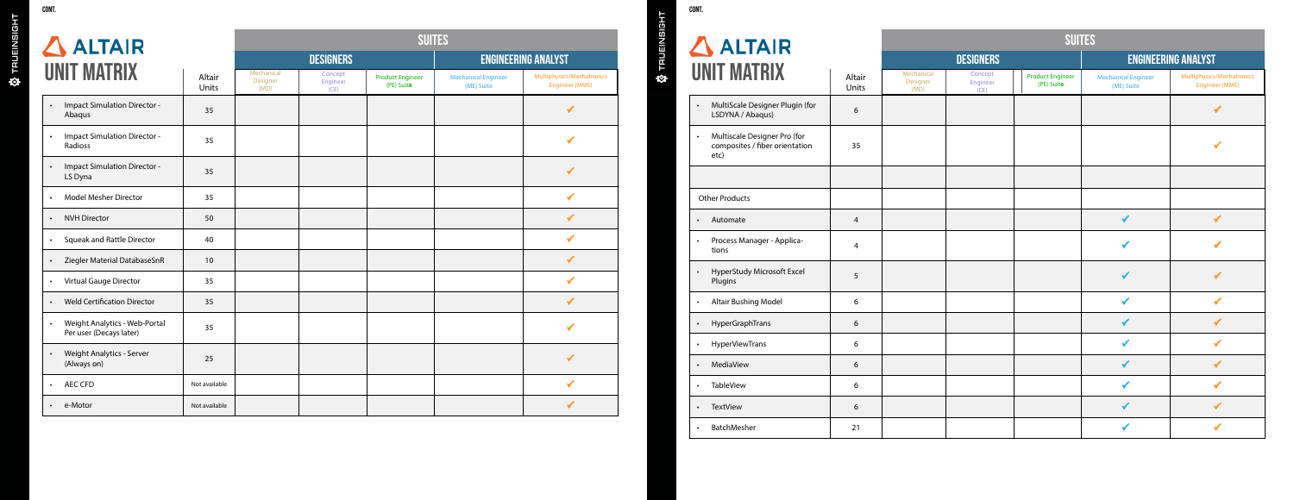• Weight Analytics - Server (Always on)

• AEC CFD

• e-Motor

**W** TRUEINSIGHT

| ALTAIR                                                     |                                |                             | TRUEINSIGH                            | $\Delta$ ALTAIF                            |                                          |                                                    |           |                                                 |
|------------------------------------------------------------|--------------------------------|-----------------------------|---------------------------------------|--------------------------------------------|------------------------------------------|----------------------------------------------------|-----------|-------------------------------------------------|
|                                                            |                                |                             | <b>DESIGNERS</b>                      |                                            |                                          | <b>ENGINEERING ANALYST</b>                         |           |                                                 |
| <b>UNIT MATRIX</b>                                         | Mechanical<br>Designer<br>(MD) | Concept<br>Engineer<br>(CE) | <b>Product Engineer</b><br>(PE) Suite | <b>Electronics Designer</b><br>(EDE) Suite | <b>Mechanical Engineer</b><br>(ME) Suite | Multiphysics/Mechatronics<br><b>Engineer (MME)</b> | $\bullet$ | <b>UNIT MATRIX</b>                              |
| <b>Impact Simulation Director -</b><br>$\bullet$<br>Abaqus |                                |                             |                                       |                                            |                                          |                                                    |           | MultiScale Designer P<br>LSDYNA / Abaqus)       |
| <b>Impact Simulation Director -</b><br>Radioss             |                                |                             |                                       |                                            |                                          | $\checkmark$                                       |           | Multiscale Designer P<br>composites / fiber ori |
| <b>Impact Simulation Director -</b><br>LS Dyna             |                                |                             |                                       |                                            |                                          |                                                    |           | etc)                                            |
| <b>Model Mesher Director</b>                               |                                |                             |                                       |                                            |                                          | $\checkmark$                                       |           | <b>Other Products</b>                           |
| <b>NVH Director</b>                                        |                                |                             |                                       |                                            |                                          |                                                    |           | Automate                                        |
| <b>Squeak and Rattle Director</b>                          |                                |                             |                                       |                                            |                                          | $\checkmark$                                       |           | Process Manager - Ap                            |
| Ziegler Material DatabaseSnR                               |                                |                             |                                       |                                            |                                          | ✔                                                  |           | tions                                           |
| Virtual Gauge Director                                     |                                |                             |                                       |                                            |                                          |                                                    |           | <b>HyperStudy Microsoft</b><br>Plugins          |
| <b>Weld Certification Director</b><br>$\bullet$            |                                |                             |                                       |                                            |                                          | $\checkmark$                                       |           | Altair Bushing Model                            |
| Weight Analytics - Web-Portal<br>Per user (Decays later)   |                                |                             |                                       |                                            |                                          | $\checkmark$                                       |           | HyperGraphTrans                                 |
|                                                            |                                |                             |                                       |                                            |                                          |                                                    |           | <b>HyperViewTrans</b>                           |

| CONT. |                                    |
|-------|------------------------------------|
|       | n<br><b>UNIT MA</b>                |
|       | MultiScale I<br>LSDYNA / A         |
|       | Multiscale I<br>composites<br>etc) |
|       |                                    |
|       | <b>Other Products</b>              |
|       | Automate                           |
|       | Process Ma<br>tions                |
|       | HyperStudy<br>Plugins              |
|       | Altair Bushi                       |
|       | <b>HyperGrapl</b>                  |
|       | HyperView <sup>-</sup>             |
|       | MediaView                          |
|       | <b>TableView</b>                   |
|       | <b>TextView</b>                    |
|       |                                    |

| ALTAIR                                                                 | <b>SUITES</b>                  |                             |                                       |                                            |                                          |                                                    |  |  |  |
|------------------------------------------------------------------------|--------------------------------|-----------------------------|---------------------------------------|--------------------------------------------|------------------------------------------|----------------------------------------------------|--|--|--|
|                                                                        |                                |                             | <b>DESIGNERS</b>                      |                                            | <b>ENGINEERING ANALYST</b>               |                                                    |  |  |  |
| <b>JNIT MATRIX</b>                                                     | Mechanical<br>Designer<br>(MD) | Concept<br>Engineer<br>(CE) | <b>Product Engineer</b><br>(PE) Suite | <b>Electronics Designer</b><br>(EDE) Suite | <b>Mechanical Engineer</b><br>(ME) Suite | Multiphysics/Mechatronics<br><b>Engineer (MME)</b> |  |  |  |
| MultiScale Designer Plugin (for<br>LSDYNA / Abaqus)                    |                                |                             |                                       |                                            |                                          | ✔                                                  |  |  |  |
| Multiscale Designer Pro (for<br>composites / fiber orientation<br>etc) |                                |                             |                                       |                                            |                                          | ✔                                                  |  |  |  |
|                                                                        |                                |                             |                                       |                                            |                                          |                                                    |  |  |  |
| <b>Other Products</b>                                                  |                                |                             |                                       |                                            |                                          |                                                    |  |  |  |
| Automate                                                               |                                |                             |                                       |                                            | $\checkmark$                             | $\checkmark$                                       |  |  |  |
| Process Manager - Applica-<br>tions                                    |                                |                             |                                       |                                            | $\checkmark$                             | ✔                                                  |  |  |  |
| <b>HyperStudy Microsoft Excel</b><br>Plugins                           |                                |                             |                                       |                                            | $\checkmark$                             | ✔                                                  |  |  |  |
| Altair Bushing Model                                                   |                                |                             |                                       |                                            | $\checkmark$                             | $\checkmark$                                       |  |  |  |
| HyperGraphTrans                                                        |                                |                             |                                       |                                            | $\checkmark$                             | $\checkmark$                                       |  |  |  |
| HyperViewTrans                                                         |                                |                             |                                       |                                            | ✔                                        | $\checkmark$                                       |  |  |  |
| MediaView                                                              |                                |                             |                                       |                                            | ✔                                        | ✔                                                  |  |  |  |
| <b>TableView</b>                                                       |                                |                             |                                       |                                            | ✔                                        | ✔                                                  |  |  |  |
| <b>TextView</b>                                                        |                                |                             |                                       |                                            | ✔                                        | ✔                                                  |  |  |  |
| BatchMesher                                                            |                                |                             |                                       |                                            | ✔                                        | ✔                                                  |  |  |  |